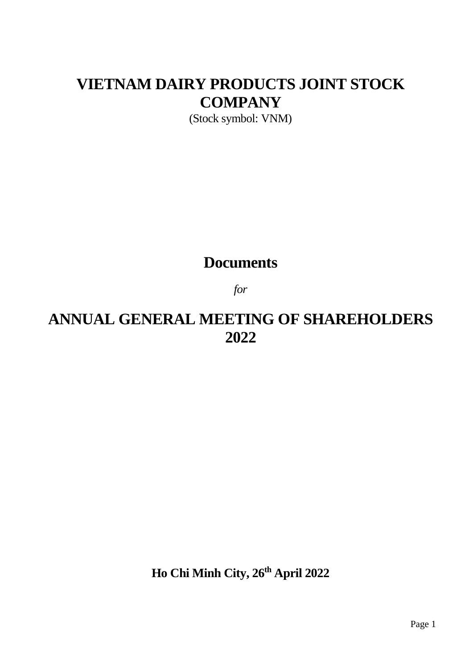# **VIETNAM DAIRY PRODUCTS JOINT STOCK COMPANY**

(Stock symbol: VNM)

# **Documents**

*for*

# **ANNUAL GENERAL MEETING OF SHAREHOLDERS 2022**

**Ho Chi Minh City, 26th April 2022**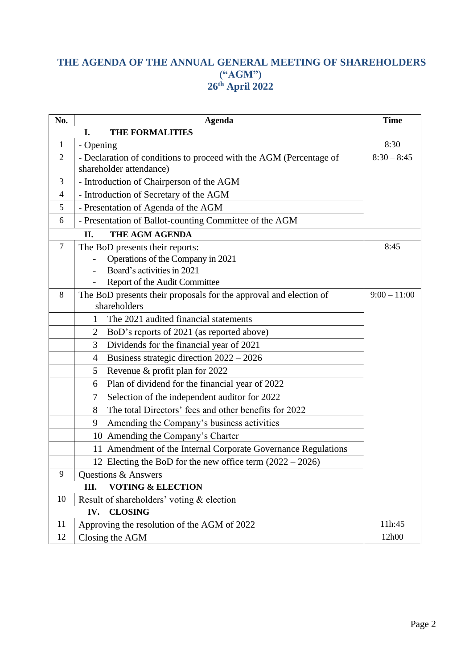# **THE AGENDA OF THE ANNUAL GENERAL MEETING OF SHAREHOLDERS ("AGM") th April 2022**

| No.            | <b>Agenda</b>                                                                                                                       | <b>Time</b>   |
|----------------|-------------------------------------------------------------------------------------------------------------------------------------|---------------|
|                | <b>THE FORMALITIES</b><br>I.                                                                                                        |               |
| $\mathbf{1}$   | - Opening                                                                                                                           | 8:30          |
| $\overline{2}$ | - Declaration of conditions to proceed with the AGM (Percentage of<br>shareholder attendance)                                       | $8:30 - 8:45$ |
| 3              | - Introduction of Chairperson of the AGM                                                                                            |               |
| 4              | - Introduction of Secretary of the AGM                                                                                              |               |
| 5              | - Presentation of Agenda of the AGM                                                                                                 |               |
| 6              | - Presentation of Ballot-counting Committee of the AGM                                                                              |               |
|                | THE AGM AGENDA<br>II.                                                                                                               |               |
| $\tau$         | The BoD presents their reports:<br>Operations of the Company in 2021<br>Board's activities in 2021<br>Report of the Audit Committee | 8:45          |
| 8              | The BoD presents their proposals for the approval and election of<br>$9:00 - 11:00$<br>shareholders                                 |               |
|                | The 2021 audited financial statements<br>1                                                                                          |               |
|                | BoD's reports of 2021 (as reported above)<br>2                                                                                      |               |
|                | Dividends for the financial year of 2021<br>3                                                                                       |               |
|                | Business strategic direction 2022 - 2026<br>4                                                                                       |               |
|                | Revenue & profit plan for 2022<br>5                                                                                                 |               |
|                | Plan of dividend for the financial year of 2022<br>6                                                                                |               |
|                | Selection of the independent auditor for 2022<br>7                                                                                  |               |
|                | The total Directors' fees and other benefits for 2022<br>8                                                                          |               |
|                | Amending the Company's business activities<br>9                                                                                     |               |
|                | 10 Amending the Company's Charter                                                                                                   |               |
|                | 11 Amendment of the Internal Corporate Governance Regulations                                                                       |               |
|                | 12 Electing the BoD for the new office term $(2022 – 2026)$                                                                         |               |
| 9              | Questions & Answers                                                                                                                 |               |
|                | <b>VOTING &amp; ELECTION</b><br>Ш.                                                                                                  |               |
| 10             | Result of shareholders' voting & election                                                                                           |               |
|                | <b>CLOSING</b><br>IV.                                                                                                               |               |
| 11             | Approving the resolution of the AGM of 2022                                                                                         | 11h:45        |
| 12             | Closing the AGM                                                                                                                     | 12h00         |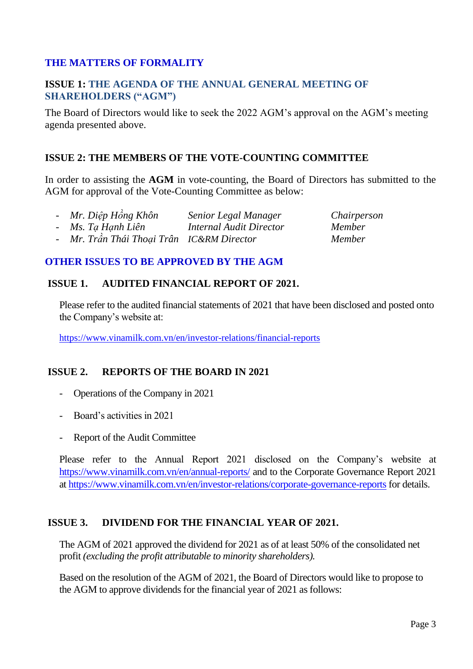#### **THE MATTERS OF FORMALITY**

#### **ISSUE 1: THE AGENDA OF THE ANNUAL GENERAL MEETING OF SHAREHOLDERS ("AGM")**

The Board of Directors would like to seek the 2022 AGM's approval on the AGM's meeting agenda presented above.

#### **ISSUE 2: THE MEMBERS OF THE VOTE-COUNTING COMMITTEE**

In order to assisting the **AGM** in vote-counting, the Board of Directors has submitted to the AGM for approval of the Vote-Counting Committee as below:

| - Mr. Diệp Hồng Khôn                      | Senior Legal Manager           | Chairperson   |
|-------------------------------------------|--------------------------------|---------------|
| - Ms. Ta Hanh Liên                        | <b>Internal Audit Director</b> | <i>Member</i> |
| - Mr. Trần Thái Thoại Trân IC&RM Director |                                | Member        |

#### **OTHER ISSUES TO BE APPROVED BY THE AGM**

#### **ISSUE 1. AUDITED FINANCIAL REPORT OF 2021.**

Please refer to the audited financial statements of 2021 that have been disclosed and posted onto the Company's website at:

<https://www.vinamilk.com.vn/en/investor-relations/financial-reports>

#### **ISSUE 2. REPORTS OF THE BOARD IN 2021**

- Operations of the Company in 2021
- Board's activities in 2021
- Report of the Audit Committee

Please refer to the Annual Report 2021 disclosed on the Company's website at <https://www.vinamilk.com.vn/en/annual-reports/> and to the Corporate Governance Report 2021 at<https://www.vinamilk.com.vn/en/investor-relations/corporate-governance-reports> for details.

#### **ISSUE 3. DIVIDEND FOR THE FINANCIAL YEAR OF 2021.**

The AGM of 2021 approved the dividend for 2021 as of at least 50% of the consolidated net profit *(excluding the profit attributable to minority shareholders).*

Based on the resolution of the AGM of 2021, the Board of Directors would like to propose to the AGM to approve dividends for the financial year of 2021 as follows: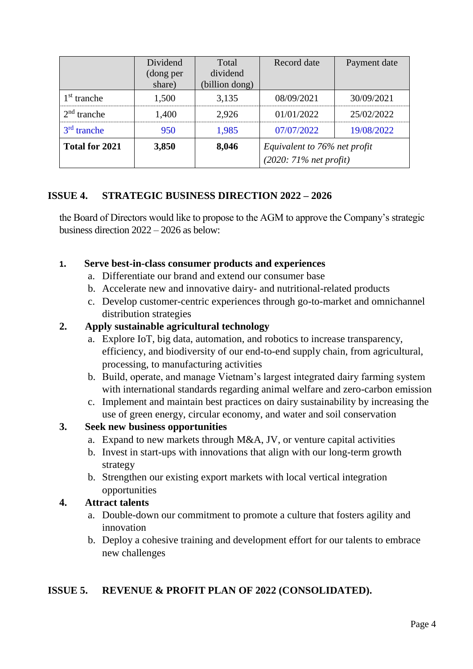|                | Dividend  | Total          | Record date                                              | Payment date |
|----------------|-----------|----------------|----------------------------------------------------------|--------------|
|                | (dong per | dividend       |                                                          |              |
|                | share)    | (billion dong) |                                                          |              |
| $1st$ tranche  | 1,500     | 3,135          | 08/09/2021                                               | 30/09/2021   |
| $2nd$ tranche  | 1,400     | 2,926          | 01/01/2022                                               | 25/02/2022   |
| $3rd$ tranche  | 950       | 1,985          | 07/07/2022                                               | 19/08/2022   |
| Total for 2021 | 3,850     | 8,046          | Equivalent to 76% net profit<br>$(2020: 71%$ net profit) |              |

# **ISSUE 4. STRATEGIC BUSINESS DIRECTION 2022 – 2026**

the Board of Directors would like to propose to the AGM to approve the Company's strategic business direction 2022 – 2026 as below:

### **1. Serve best-in-class consumer products and experiences**

- a. Differentiate our brand and extend our consumer base
- b. Accelerate new and innovative dairy- and nutritional-related products
- c. Develop customer-centric experiences through go-to-market and omnichannel distribution strategies

# **2. Apply sustainable agricultural technology**

- a. Explore IoT, big data, automation, and robotics to increase transparency, efficiency, and biodiversity of our end-to-end supply chain, from agricultural, processing, to manufacturing activities
- b. Build, operate, and manage Vietnam's largest integrated dairy farming system with international standards regarding animal welfare and zero-carbon emission
- c. Implement and maintain best practices on dairy sustainability by increasing the use of green energy, circular economy, and water and soil conservation

# **3. Seek new business opportunities**

- a. Expand to new markets through M&A, JV, or venture capital activities
- b. Invest in start-ups with innovations that align with our long-term growth strategy
- b. Strengthen our existing export markets with local vertical integration opportunities

# **4. Attract talents**

- a. Double-down our commitment to promote a culture that fosters agility and innovation
- b. Deploy a cohesive training and development effort for our talents to embrace new challenges

# **ISSUE 5. REVENUE & PROFIT PLAN OF 2022 (CONSOLIDATED).**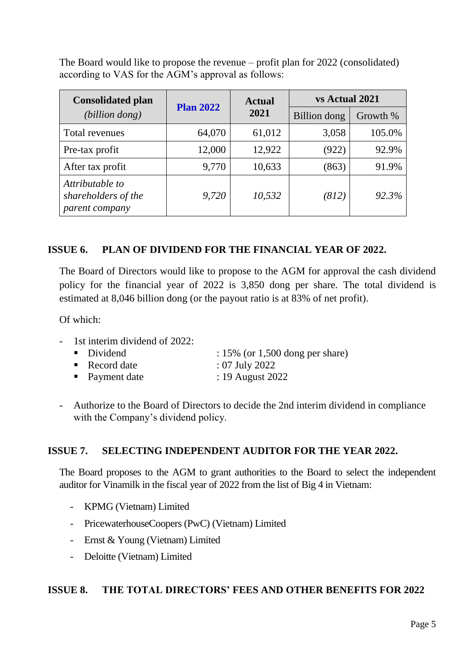The Board would like to propose the revenue – profit plan for 2022 (consolidated) according to VAS for the AGM's approval as follows:

| <b>Consolidated plan</b>                                 | <b>Plan 2022</b> | <b>Actual</b><br>2021 | vs Actual 2021      |          |
|----------------------------------------------------------|------------------|-----------------------|---------------------|----------|
| (billion dong)                                           |                  |                       | <b>Billion</b> dong | Growth % |
| Total revenues                                           | 64,070           | 61,012                | 3,058               | 105.0%   |
| Pre-tax profit                                           | 12,000           | 12,922                | (922)               | 92.9%    |
| After tax profit                                         | 9,770            | 10,633                | (863)               | 91.9%    |
| Attributable to<br>shareholders of the<br>parent company | 9,720            | 10,532                | (812)               | 92.3%    |

### **ISSUE 6. PLAN OF DIVIDEND FOR THE FINANCIAL YEAR OF 2022.**

The Board of Directors would like to propose to the AGM for approval the cash dividend policy for the financial year of 2022 is 3,850 dong per share*.* The total dividend is estimated at 8,046 billion dong (or the payout ratio is at 83% of net profit).

 $Of$  which:

1st interim dividend of 2022:

| • Dividend                 | $: 15\%$ (or 1,500 dong per share) |
|----------------------------|------------------------------------|
| $\blacksquare$ Record date | $: 07$ July 2022                   |

- Payment date : 19 August 2022
- Authorize to the Board of Directors to decide the 2nd interim dividend in compliance with the Company's dividend policy.

#### **ISSUE 7. SELECTING INDEPENDENT AUDITOR FOR THE YEAR 2022.**

The Board proposes to the AGM to grant authorities to the Board to select the independent auditor for Vinamilk in the fiscal year of 2022 from the list of Big 4 in Vietnam:

- KPMG (Vietnam) Limited
- PricewaterhouseCoopers (PwC) (Vietnam) Limited
- Ernst & Young (Vietnam) Limited
- Deloitte (Vietnam) Limited

#### **ISSUE 8. THE TOTAL DIRECTORS' FEES AND OTHER BENEFITS FOR 2022**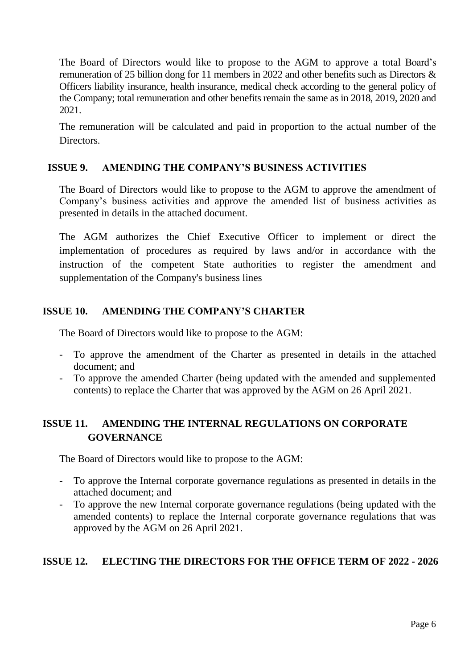The Board of Directors would like to propose to the AGM to approve a total Board's remuneration of 25 billion dong for 11 members in 2022 and other benefits such as Directors & Officers liability insurance, health insurance, medical check according to the general policy of the Company; total remuneration and other benefits remain the same as in 2018, 2019, 2020 and 2021.

The remuneration will be calculated and paid in proportion to the actual number of the **Directors** 

### **ISSUE 9. AMENDING THE COMPANY'S BUSINESS ACTIVITIES**

The Board of Directors would like to propose to the AGM to approve the amendment of Company's business activities and approve the amended list of business activities as presented in details in the attached document.

The AGM authorizes the Chief Executive Officer to implement or direct the implementation of procedures as required by laws and/or in accordance with the instruction of the competent State authorities to register the amendment and supplementation of the Company's business lines

### **ISSUE 10. AMENDING THE COMPANY'S CHARTER**

The Board of Directors would like to propose to the AGM:

- To approve the amendment of the Charter as presented in details in the attached document; and
- To approve the amended Charter (being updated with the amended and supplemented contents) to replace the Charter that was approved by the AGM on 26 April 2021.

# **ISSUE 11. AMENDING THE INTERNAL REGULATIONS ON CORPORATE GOVERNANCE**

The Board of Directors would like to propose to the AGM:

- To approve the Internal corporate governance regulations as presented in details in the attached document; and
- To approve the new Internal corporate governance regulations (being updated with the amended contents) to replace the Internal corporate governance regulations that was approved by the AGM on 26 April 2021.

# **ISSUE 12. ELECTING THE DIRECTORS FOR THE OFFICE TERM OF 2022 - 2026**